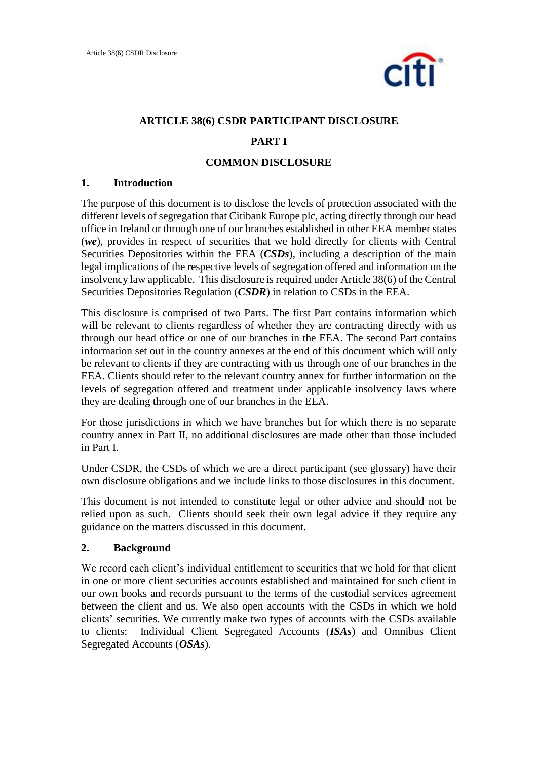

# **ARTICLE 38(6) CSDR PARTICIPANT DISCLOSURE**

### **PART I**

### **COMMON DISCLOSURE**

### **1. Introduction**

The purpose of this document is to disclose the levels of protection associated with the different levels of segregation that Citibank Europe plc, acting directly through our head office in Ireland or through one of our branches established in other EEA member states (*we*), provides in respect of securities that we hold directly for clients with Central Securities Depositories within the EEA (*CSDs*), including a description of the main legal implications of the respective levels of segregation offered and information on the insolvency law applicable. This disclosure is required under Article 38(6) of the Central Securities Depositories Regulation (*CSDR*) in relation to CSDs in the EEA.

This disclosure is comprised of two Parts. The first Part contains information which will be relevant to clients regardless of whether they are contracting directly with us through our head office or one of our branches in the EEA. The second Part contains information set out in the country annexes at the end of this document which will only be relevant to clients if they are contracting with us through one of our branches in the EEA. Clients should refer to the relevant country annex for further information on the levels of segregation offered and treatment under applicable insolvency laws where they are dealing through one of our branches in the EEA.

For those jurisdictions in which we have branches but for which there is no separate country annex in Part II, no additional disclosures are made other than those included in Part I.

Under CSDR, the CSDs of which we are a direct participant (see glossary) have their own disclosure obligations and we include links to those disclosures in this document.

This document is not intended to constitute legal or other advice and should not be relied upon as such. Clients should seek their own legal advice if they require any guidance on the matters discussed in this document.

### **2. Background**

We record each client's individual entitlement to securities that we hold for that client in one or more client securities accounts established and maintained for such client in our own books and records pursuant to the terms of the custodial services agreement between the client and us. We also open accounts with the CSDs in which we hold clients' securities. We currently make two types of accounts with the CSDs available to clients: Individual Client Segregated Accounts (*ISAs*) and Omnibus Client Segregated Accounts (*OSAs*).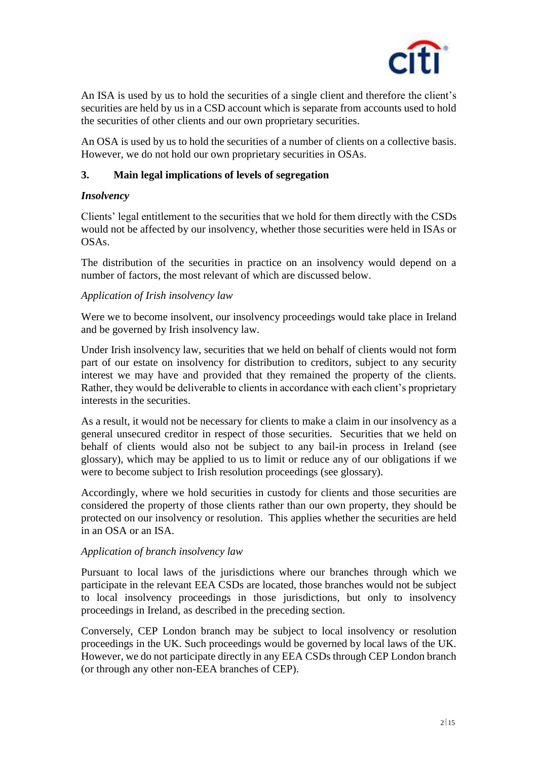

An ISA is used by us to hold the securities of a single client and therefore the client's securities are held by us in a CSD account which is separate from accounts used to hold the securities of other clients and our own proprietary securities.

An OSA is used by us to hold the securities of a number of clients on a collective basis. However, we do not hold our own proprietary securities in OSAs.

# **3. Main legal implications of levels of segregation**

# *Insolvency*

Clients' legal entitlement to the securities that we hold for them directly with the CSDs would not be affected by our insolvency, whether those securities were held in ISAs or OSAs.

The distribution of the securities in practice on an insolvency would depend on a number of factors, the most relevant of which are discussed below.

# *Application of Irish insolvency law*

Were we to become insolvent, our insolvency proceedings would take place in Ireland and be governed by Irish insolvency law.

Under Irish insolvency law, securities that we held on behalf of clients would not form part of our estate on insolvency for distribution to creditors, subject to any security interest we may have and provided that they remained the property of the clients. Rather, they would be deliverable to clients in accordance with each client's proprietary interests in the securities.

As a result, it would not be necessary for clients to make a claim in our insolvency as a general unsecured creditor in respect of those securities. Securities that we held on behalf of clients would also not be subject to any bail-in process in Ireland (see glossary), which may be applied to us to limit or reduce any of our obligations if we were to become subject to Irish resolution proceedings (see glossary).

Accordingly, where we hold securities in custody for clients and those securities are considered the property of those clients rather than our own property, they should be protected on our insolvency or resolution. This applies whether the securities are held in an OSA or an ISA.

# *Application of branch insolvency law*

Pursuant to local laws of the jurisdictions where our branches through which we participate in the relevant EEA CSDs are located, those branches would not be subject to local insolvency proceedings in those jurisdictions, but only to insolvency proceedings in Ireland, as described in the preceding section.

Conversely, CEP London branch may be subject to local insolvency or resolution proceedings in the UK. Such proceedings would be governed by local laws of the UK. However, we do not participate directly in any EEA CSDs through CEP London branch (or through any other non-EEA branches of CEP).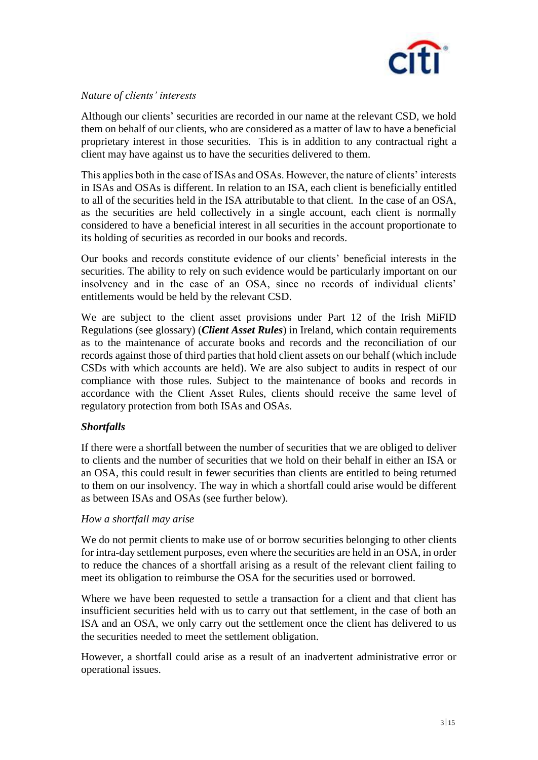

### *Nature of clients' interests*

Although our clients' securities are recorded in our name at the relevant CSD, we hold them on behalf of our clients, who are considered as a matter of law to have a beneficial proprietary interest in those securities. This is in addition to any contractual right a client may have against us to have the securities delivered to them.

This applies both in the case of ISAs and OSAs. However, the nature of clients' interests in ISAs and OSAs is different. In relation to an ISA, each client is beneficially entitled to all of the securities held in the ISA attributable to that client. In the case of an OSA, as the securities are held collectively in a single account, each client is normally considered to have a beneficial interest in all securities in the account proportionate to its holding of securities as recorded in our books and records.

Our books and records constitute evidence of our clients' beneficial interests in the securities. The ability to rely on such evidence would be particularly important on our insolvency and in the case of an OSA, since no records of individual clients' entitlements would be held by the relevant CSD.

We are subject to the client asset provisions under Part 12 of the Irish MiFID Regulations (see glossary) (*Client Asset Rules*) in Ireland, which contain requirements as to the maintenance of accurate books and records and the reconciliation of our records against those of third parties that hold client assets on our behalf (which include CSDs with which accounts are held). We are also subject to audits in respect of our compliance with those rules. Subject to the maintenance of books and records in accordance with the Client Asset Rules, clients should receive the same level of regulatory protection from both ISAs and OSAs.

# *Shortfalls*

If there were a shortfall between the number of securities that we are obliged to deliver to clients and the number of securities that we hold on their behalf in either an ISA or an OSA, this could result in fewer securities than clients are entitled to being returned to them on our insolvency. The way in which a shortfall could arise would be different as between ISAs and OSAs (see further below).

### *How a shortfall may arise*

We do not permit clients to make use of or borrow securities belonging to other clients for intra-day settlement purposes, even where the securities are held in an OSA, in order to reduce the chances of a shortfall arising as a result of the relevant client failing to meet its obligation to reimburse the OSA for the securities used or borrowed.

Where we have been requested to settle a transaction for a client and that client has insufficient securities held with us to carry out that settlement, in the case of both an ISA and an OSA, we only carry out the settlement once the client has delivered to us the securities needed to meet the settlement obligation.

However, a shortfall could arise as a result of an inadvertent administrative error or operational issues.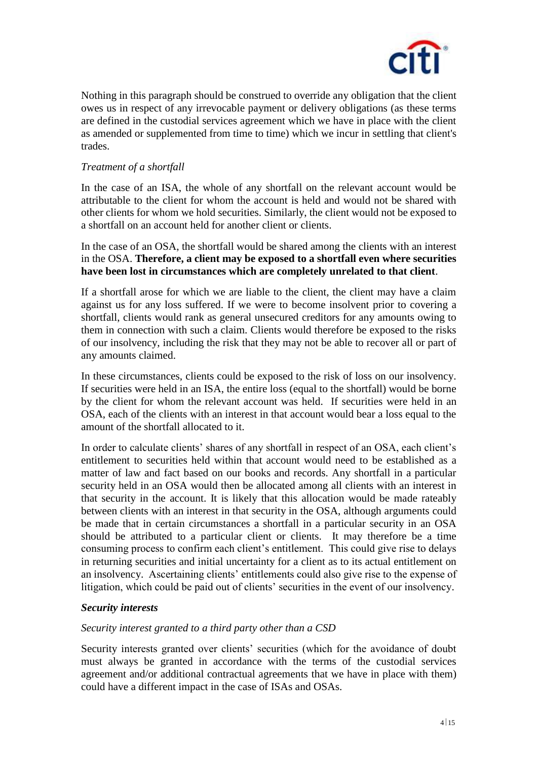

Nothing in this paragraph should be construed to override any obligation that the client owes us in respect of any irrevocable payment or delivery obligations (as these terms are defined in the custodial services agreement which we have in place with the client as amended or supplemented from time to time) which we incur in settling that client's trades.

### *Treatment of a shortfall*

In the case of an ISA, the whole of any shortfall on the relevant account would be attributable to the client for whom the account is held and would not be shared with other clients for whom we hold securities. Similarly, the client would not be exposed to a shortfall on an account held for another client or clients.

In the case of an OSA, the shortfall would be shared among the clients with an interest in the OSA. **Therefore, a client may be exposed to a shortfall even where securities have been lost in circumstances which are completely unrelated to that client**.

If a shortfall arose for which we are liable to the client, the client may have a claim against us for any loss suffered. If we were to become insolvent prior to covering a shortfall, clients would rank as general unsecured creditors for any amounts owing to them in connection with such a claim. Clients would therefore be exposed to the risks of our insolvency, including the risk that they may not be able to recover all or part of any amounts claimed.

In these circumstances, clients could be exposed to the risk of loss on our insolvency. If securities were held in an ISA, the entire loss (equal to the shortfall) would be borne by the client for whom the relevant account was held. If securities were held in an OSA, each of the clients with an interest in that account would bear a loss equal to the amount of the shortfall allocated to it.

In order to calculate clients' shares of any shortfall in respect of an OSA, each client's entitlement to securities held within that account would need to be established as a matter of law and fact based on our books and records. Any shortfall in a particular security held in an OSA would then be allocated among all clients with an interest in that security in the account. It is likely that this allocation would be made rateably between clients with an interest in that security in the OSA, although arguments could be made that in certain circumstances a shortfall in a particular security in an OSA should be attributed to a particular client or clients. It may therefore be a time consuming process to confirm each client's entitlement. This could give rise to delays in returning securities and initial uncertainty for a client as to its actual entitlement on an insolvency. Ascertaining clients' entitlements could also give rise to the expense of litigation, which could be paid out of clients' securities in the event of our insolvency.

### *Security interests*

### *Security interest granted to a third party other than a CSD*

Security interests granted over clients' securities (which for the avoidance of doubt must always be granted in accordance with the terms of the custodial services agreement and/or additional contractual agreements that we have in place with them) could have a different impact in the case of ISAs and OSAs.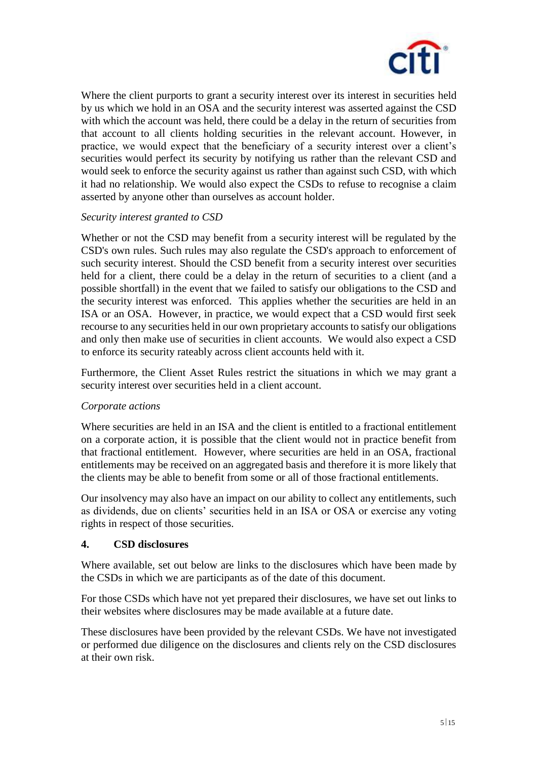

Where the client purports to grant a security interest over its interest in securities held by us which we hold in an OSA and the security interest was asserted against the CSD with which the account was held, there could be a delay in the return of securities from that account to all clients holding securities in the relevant account. However, in practice, we would expect that the beneficiary of a security interest over a client's securities would perfect its security by notifying us rather than the relevant CSD and would seek to enforce the security against us rather than against such CSD, with which it had no relationship. We would also expect the CSDs to refuse to recognise a claim asserted by anyone other than ourselves as account holder.

# *Security interest granted to CSD*

Whether or not the CSD may benefit from a security interest will be regulated by the CSD's own rules. Such rules may also regulate the CSD's approach to enforcement of such security interest. Should the CSD benefit from a security interest over securities held for a client, there could be a delay in the return of securities to a client (and a possible shortfall) in the event that we failed to satisfy our obligations to the CSD and the security interest was enforced. This applies whether the securities are held in an ISA or an OSA. However, in practice, we would expect that a CSD would first seek recourse to any securities held in our own proprietary accounts to satisfy our obligations and only then make use of securities in client accounts. We would also expect a CSD to enforce its security rateably across client accounts held with it.

Furthermore, the Client Asset Rules restrict the situations in which we may grant a security interest over securities held in a client account.

# *Corporate actions*

Where securities are held in an ISA and the client is entitled to a fractional entitlement on a corporate action, it is possible that the client would not in practice benefit from that fractional entitlement. However, where securities are held in an OSA, fractional entitlements may be received on an aggregated basis and therefore it is more likely that the clients may be able to benefit from some or all of those fractional entitlements.

Our insolvency may also have an impact on our ability to collect any entitlements, such as dividends, due on clients' securities held in an ISA or OSA or exercise any voting rights in respect of those securities.

# **4. CSD disclosures**

Where available, set out below are links to the disclosures which have been made by the CSDs in which we are participants as of the date of this document.

For those CSDs which have not yet prepared their disclosures, we have set out links to their websites where disclosures may be made available at a future date.

These disclosures have been provided by the relevant CSDs. We have not investigated or performed due diligence on the disclosures and clients rely on the CSD disclosures at their own risk.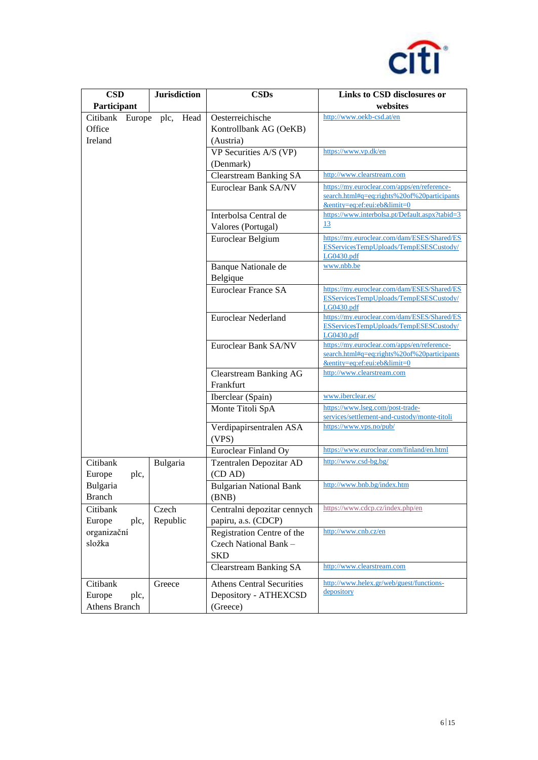

| <b>CSD</b>              | <b>Jurisdiction</b> | <b>CSDs</b>                      | Links to CSD disclosures or                          |
|-------------------------|---------------------|----------------------------------|------------------------------------------------------|
| Participant             |                     |                                  | websites                                             |
| Citibank<br>Europe plc, | Head                | Oesterreichische                 | http://www.oekb-csd.at/en                            |
| Office                  |                     | Kontrollbank AG (OeKB)           |                                                      |
| Ireland                 |                     | (Austria)                        |                                                      |
|                         |                     | VP Securities A/S (VP)           | https://www.vp.dk/en                                 |
|                         |                     | (Denmark)                        |                                                      |
|                         |                     | <b>Clearstream Banking SA</b>    | http://www.clearstream.com                           |
|                         |                     | Euroclear Bank SA/NV             | https://my.euroclear.com/apps/en/reference-          |
|                         |                     |                                  | search.html#q=eq:rights%20of%20participants          |
|                         |                     |                                  | &entity=eq:ef:eui:eb&limit=0                         |
|                         |                     | Interbolsa Central de            | https://www.interbolsa.pt/Default.aspx?tabid=3       |
|                         |                     | Valores (Portugal)               | 13                                                   |
|                         |                     | Euroclear Belgium                | https://my.euroclear.com/dam/ESES/Shared/ES          |
|                         |                     |                                  | ESServicesTempUploads/TempESESCustody/<br>LG0430.pdf |
|                         |                     | Banque Nationale de              | www.nbb.be                                           |
|                         |                     | Belgique                         |                                                      |
|                         |                     | Euroclear France SA              | https://my.euroclear.com/dam/ESES/Shared/ES          |
|                         |                     |                                  | ESServicesTempUploads/TempESESCustody/               |
|                         |                     |                                  | LG0430.pdf                                           |
|                         |                     | Euroclear Nederland              | https://my.euroclear.com/dam/ESES/Shared/ES          |
|                         |                     |                                  | ESServicesTempUploads/TempESESCustody/<br>LG0430.pdf |
|                         |                     | Euroclear Bank SA/NV             | https://my.euroclear.com/apps/en/reference-          |
|                         |                     |                                  | search.html#q=eq:rights%20of%20participants          |
|                         |                     |                                  | &entity=eq:ef:eui:eb&limit=0                         |
|                         |                     | <b>Clearstream Banking AG</b>    | http://www.clearstream.com                           |
|                         |                     | Frankfurt                        |                                                      |
|                         |                     | Iberclear (Spain)                | www.iberclear.es/                                    |
|                         |                     | Monte Titoli SpA                 | https://www.lseg.com/post-trade-                     |
|                         |                     |                                  | services/settlement-and-custody/monte-titoli         |
|                         |                     | Verdipapirsentralen ASA          | https://www.vps.no/pub/                              |
|                         |                     | (VPS)                            |                                                      |
|                         |                     | Euroclear Finland Oy             | https://www.euroclear.com/finland/en.html            |
| Citibank                | Bulgaria            | Tzentralen Depozitar AD          | http://www.csd-bg.bg/                                |
| Europe<br>plc,          |                     | (CD AD)                          |                                                      |
| Bulgaria                |                     | <b>Bulgarian National Bank</b>   | http://www.bnb.bg/index.htm                          |
| <b>Branch</b>           |                     | (BNB)                            |                                                      |
| Citibank                | Czech               | Centralni depozitar cennych      | https://www.cdcp.cz/index.php/en                     |
| Europe<br>plc,          | Republic            | papiru, a.s. (CDCP)              |                                                      |
| organizační             |                     | Registration Centre of the       | http://www.cnb.cz/en                                 |
| složka                  |                     | Czech National Bank -            |                                                      |
|                         |                     | <b>SKD</b>                       |                                                      |
|                         |                     | <b>Clearstream Banking SA</b>    | http://www.clearstream.com                           |
| Citibank                | Greece              | <b>Athens Central Securities</b> | http://www.helex.gr/web/guest/functions-             |
| Europe<br>plc,          |                     | Depository - ATHEXCSD            | depository                                           |
| <b>Athens Branch</b>    |                     | (Greece)                         |                                                      |
|                         |                     |                                  |                                                      |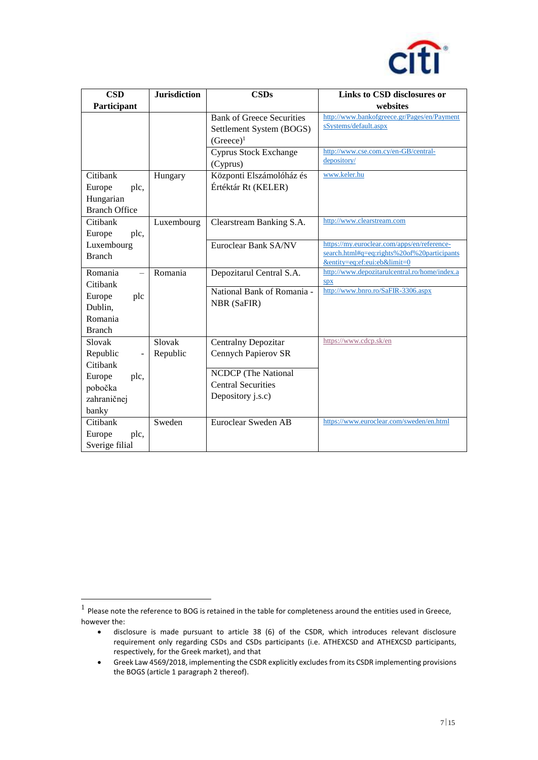

| <b>CSD</b>                                                      | <b>Jurisdiction</b> | <b>CSDs</b>                                                                  | Links to CSD disclosures or                                                                                                |
|-----------------------------------------------------------------|---------------------|------------------------------------------------------------------------------|----------------------------------------------------------------------------------------------------------------------------|
| Participant                                                     |                     |                                                                              | websites                                                                                                                   |
|                                                                 |                     | <b>Bank of Greece Securities</b><br>Settlement System (BOGS)<br>$(Greeze)^1$ | http://www.bankofgreece.gr/Pages/en/Payment<br>sSystems/default.aspx                                                       |
|                                                                 |                     | <b>Cyprus Stock Exchange</b><br>(Cyprus)                                     | http://www.cse.com.cy/en-GB/central-<br>depository/                                                                        |
| Citibank<br>Europe<br>plc,<br>Hungarian<br><b>Branch Office</b> | Hungary             | Központi Elszámolóház és<br>Értéktár Rt (KELER)                              | www.keler.hu                                                                                                               |
| Citibank<br>Europe<br>plc,                                      | Luxembourg          | Clearstream Banking S.A.                                                     | http://www.clearstream.com                                                                                                 |
| Luxembourg<br><b>Branch</b>                                     |                     | Euroclear Bank SA/NV                                                         | https://my.euroclear.com/apps/en/reference-<br>search.html#q=eq:rights%20of%20participants<br>&entity=eq:ef:eui:eb&limit=0 |
| Romania<br>Citibank                                             | Romania             | Depozitarul Central S.A.                                                     | http://www.depozitarulcentral.ro/home/index.a<br>SDX                                                                       |
| Europe<br>plc<br>Dublin,<br>Romania<br><b>Branch</b>            |                     | National Bank of Romania -<br><b>NBR</b> (SaFIR)                             | http://www.bnro.ro/SaFIR-3306.aspx                                                                                         |
| Slovak<br>Republic<br>Citibank                                  | Slovak<br>Republic  | Centralny Depozitar<br>Cennych Papierov SR                                   | https://www.cdcp.sk/en                                                                                                     |
| Europe<br>plc,<br>pobočka<br>zahraničnej<br>banky               |                     | NCDCP (The National<br><b>Central Securities</b><br>Depository j.s.c)        |                                                                                                                            |
| Citibank<br>Europe<br>plc,<br>Sverige filial                    | Sweden              | Euroclear Sweden AB                                                          | https://www.euroclear.com/sweden/en.html                                                                                   |

 $\overline{a}$ 

 $<sup>1</sup>$  Please note the reference to BOG is retained in the table for completeness around the entities used in Greece,</sup> however the:

disclosure is made pursuant to article 38 (6) of the CSDR, which introduces relevant disclosure requirement only regarding CSDs and CSDs participants (i.e. ATHEXCSD and ATHEXCSD participants, respectively, for the Greek market), and that

Greek Law 4569/2018, implementing the CSDR explicitly excludes from its CSDR implementing provisions the BOGS (article 1 paragraph 2 thereof).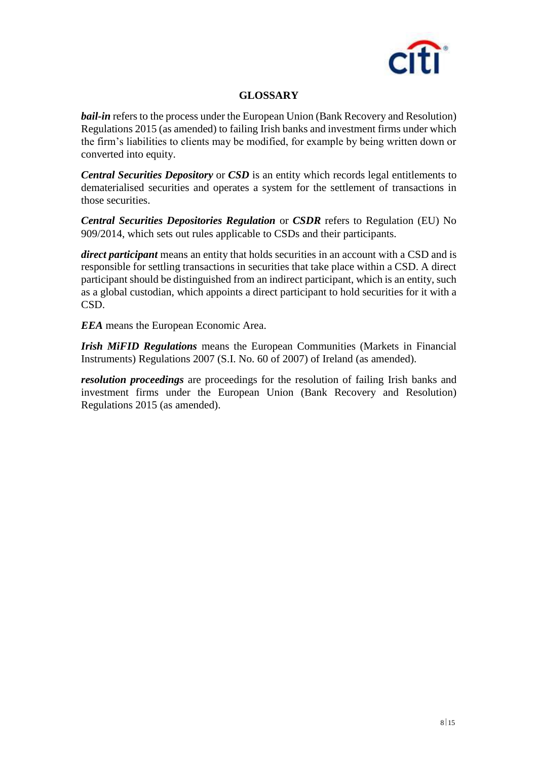

# **GLOSSARY**

*bail-in* refers to the process under the European Union (Bank Recovery and Resolution) Regulations 2015 (as amended) to failing Irish banks and investment firms under which the firm's liabilities to clients may be modified, for example by being written down or converted into equity.

*Central Securities Depository* or *CSD* is an entity which records legal entitlements to dematerialised securities and operates a system for the settlement of transactions in those securities.

*Central Securities Depositories Regulation* or *CSDR* refers to Regulation (EU) No 909/2014, which sets out rules applicable to CSDs and their participants.

*direct participant* means an entity that holds securities in an account with a CSD and is responsible for settling transactions in securities that take place within a CSD. A direct participant should be distinguished from an indirect participant, which is an entity, such as a global custodian, which appoints a direct participant to hold securities for it with a CSD.

*EEA* means the European Economic Area.

*Irish MiFID Regulations* means the European Communities (Markets in Financial Instruments) Regulations 2007 (S.I. No. 60 of 2007) of Ireland (as amended).

*resolution proceedings* are proceedings for the resolution of failing Irish banks and investment firms under the European Union (Bank Recovery and Resolution) Regulations 2015 (as amended).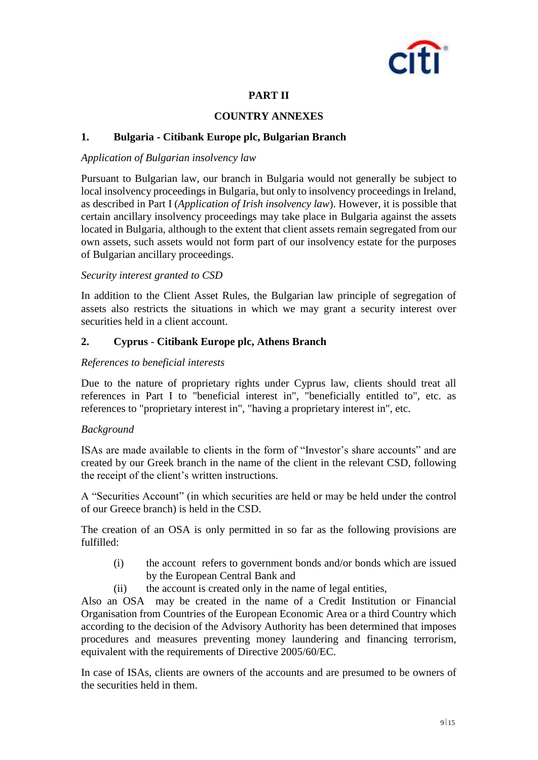

# **PART II**

### **COUNTRY ANNEXES**

### **1. Bulgaria - Citibank Europe plc, Bulgarian Branch**

### *Application of Bulgarian insolvency law*

Pursuant to Bulgarian law, our branch in Bulgaria would not generally be subject to local insolvency proceedings in Bulgaria, but only to insolvency proceedings in Ireland, as described in Part I (*Application of Irish insolvency law*). However, it is possible that certain ancillary insolvency proceedings may take place in Bulgaria against the assets located in Bulgaria, although to the extent that client assets remain segregated from our own assets, such assets would not form part of our insolvency estate for the purposes of Bulgarian ancillary proceedings.

### *Security interest granted to CSD*

In addition to the Client Asset Rules, the Bulgarian law principle of segregation of assets also restricts the situations in which we may grant a security interest over securities held in a client account.

### **2. Cyprus** - **Citibank Europe plc, Athens Branch**

### *References to beneficial interests*

Due to the nature of proprietary rights under Cyprus law, clients should treat all references in Part I to "beneficial interest in", "beneficially entitled to", etc. as references to "proprietary interest in", "having a proprietary interest in", etc.

### *Background*

ISAs are made available to clients in the form of "Investor's share accounts" and are created by our Greek branch in the name of the client in the relevant CSD, following the receipt of the client's written instructions.

A "Securities Account" (in which securities are held or may be held under the control of our Greece branch) is held in the CSD.

The creation of an OSA is only permitted in so far as the following provisions are fulfilled:

- (i) the account refers to government bonds and/or bonds which are issued by the European Central Bank and
- (ii) the account is created only in the name of legal entities,

Also an OSA may be created in the name of a Credit Institution or Financial Organisation from Countries of the European Economic Area or a third Country which according to the decision of the Advisory Authority has been determined that imposes procedures and measures preventing money laundering and financing terrorism, equivalent with the requirements of Directive 2005/60/EC.

In case of ISAs, clients are owners of the accounts and are presumed to be owners of the securities held in them.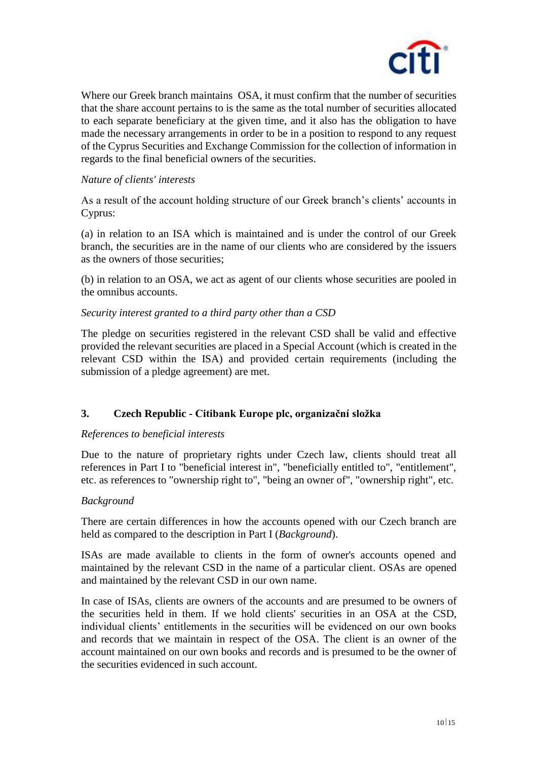

Where our Greek branch maintains OSA, it must confirm that the number of securities that the share account pertains to is the same as the total number of securities allocated to each separate beneficiary at the given time, and it also has the obligation to have made the necessary arrangements in order to be in a position to respond to any request of the Cyprus Securities and Exchange Commission for the collection of information in regards to the final beneficial owners of the securities.

### *Nature of clients' interests*

As a result of the account holding structure of our Greek branch's clients' accounts in Cyprus:

(a) in relation to an ISA which is maintained and is under the control of our Greek branch, the securities are in the name of our clients who are considered by the issuers as the owners of those securities;

(b) in relation to an OSA, we act as agent of our clients whose securities are pooled in the omnibus accounts.

### *Security interest granted to a third party other than a CSD*

The pledge on securities registered in the relevant CSD shall be valid and effective provided the relevant securities are placed in a Special Account (which is created in the relevant CSD within the ISA) and provided certain requirements (including the submission of a pledge agreement) are met.

# **3. Czech Republic - Citibank Europe plc, organizační složka**

### *References to beneficial interests*

Due to the nature of proprietary rights under Czech law, clients should treat all references in Part I to "beneficial interest in", "beneficially entitled to", "entitlement", etc. as references to "ownership right to", "being an owner of", "ownership right", etc.

### *Background*

There are certain differences in how the accounts opened with our Czech branch are held as compared to the description in Part I (*Background*).

ISAs are made available to clients in the form of owner's accounts opened and maintained by the relevant CSD in the name of a particular client. OSAs are opened and maintained by the relevant CSD in our own name.

In case of ISAs, clients are owners of the accounts and are presumed to be owners of the securities held in them. If we hold clients' securities in an OSA at the CSD, individual clients' entitlements in the securities will be evidenced on our own books and records that we maintain in respect of the OSA. The client is an owner of the account maintained on our own books and records and is presumed to be the owner of the securities evidenced in such account.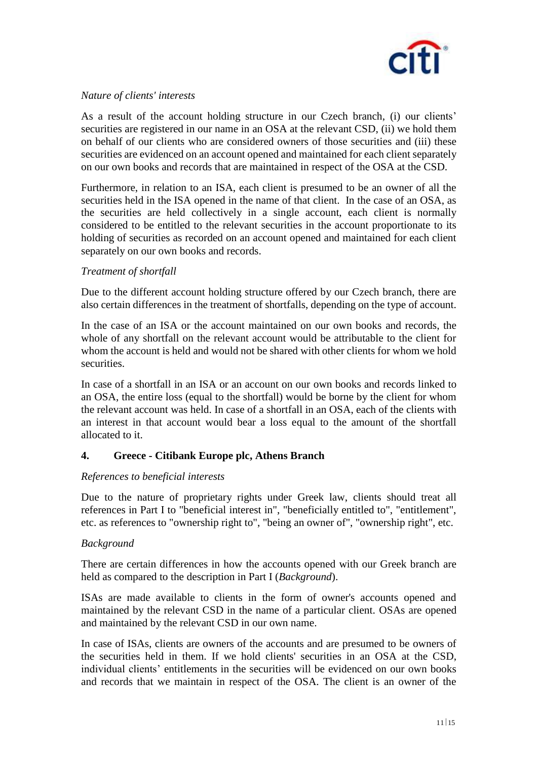

### *Nature of clients' interests*

As a result of the account holding structure in our Czech branch, (i) our clients' securities are registered in our name in an OSA at the relevant CSD, (ii) we hold them on behalf of our clients who are considered owners of those securities and (iii) these securities are evidenced on an account opened and maintained for each client separately on our own books and records that are maintained in respect of the OSA at the CSD.

Furthermore, in relation to an ISA, each client is presumed to be an owner of all the securities held in the ISA opened in the name of that client. In the case of an OSA, as the securities are held collectively in a single account, each client is normally considered to be entitled to the relevant securities in the account proportionate to its holding of securities as recorded on an account opened and maintained for each client separately on our own books and records.

### *Treatment of shortfall*

Due to the different account holding structure offered by our Czech branch, there are also certain differences in the treatment of shortfalls, depending on the type of account.

In the case of an ISA or the account maintained on our own books and records, the whole of any shortfall on the relevant account would be attributable to the client for whom the account is held and would not be shared with other clients for whom we hold securities.

In case of a shortfall in an ISA or an account on our own books and records linked to an OSA, the entire loss (equal to the shortfall) would be borne by the client for whom the relevant account was held. In case of a shortfall in an OSA, each of the clients with an interest in that account would bear a loss equal to the amount of the shortfall allocated to it.

# **4. Greece - Citibank Europe plc, Athens Branch**

### *References to beneficial interests*

Due to the nature of proprietary rights under Greek law, clients should treat all references in Part I to "beneficial interest in", "beneficially entitled to", "entitlement", etc. as references to "ownership right to", "being an owner of", "ownership right", etc.

### *Background*

There are certain differences in how the accounts opened with our Greek branch are held as compared to the description in Part I (*Background*).

ISAs are made available to clients in the form of owner's accounts opened and maintained by the relevant CSD in the name of a particular client. OSAs are opened and maintained by the relevant CSD in our own name.

In case of ISAs, clients are owners of the accounts and are presumed to be owners of the securities held in them. If we hold clients' securities in an OSA at the CSD, individual clients' entitlements in the securities will be evidenced on our own books and records that we maintain in respect of the OSA. The client is an owner of the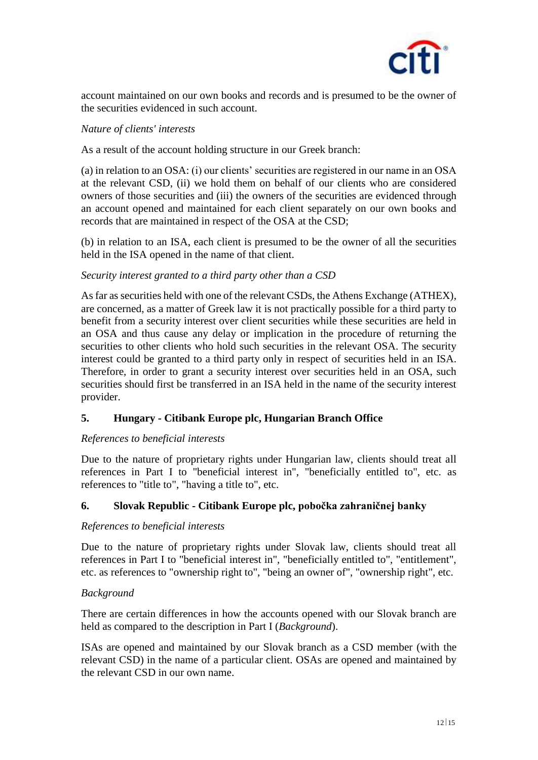

account maintained on our own books and records and is presumed to be the owner of the securities evidenced in such account.

### *Nature of clients' interests*

As a result of the account holding structure in our Greek branch:

(a) in relation to an OSA: (i) our clients' securities are registered in our name in an OSA at the relevant CSD, (ii) we hold them on behalf of our clients who are considered owners of those securities and (iii) the owners of the securities are evidenced through an account opened and maintained for each client separately on our own books and records that are maintained in respect of the OSA at the CSD;

(b) in relation to an ISA, each client is presumed to be the owner of all the securities held in the ISA opened in the name of that client.

### *Security interest granted to a third party other than a CSD*

As far as securities held with one of the relevant CSDs, the Athens Exchange (ATHEX), are concerned, as a matter of Greek law it is not practically possible for a third party to benefit from a security interest over client securities while these securities are held in an OSA and thus cause any delay or implication in the procedure of returning the securities to other clients who hold such securities in the relevant OSA. The security interest could be granted to a third party only in respect of securities held in an ISA. Therefore, in order to grant a security interest over securities held in an OSA, such securities should first be transferred in an ISA held in the name of the security interest provider.

# **5. Hungary - Citibank Europe plc, Hungarian Branch Office**

### *References to beneficial interests*

Due to the nature of proprietary rights under Hungarian law, clients should treat all references in Part I to "beneficial interest in", "beneficially entitled to", etc. as references to "title to", "having a title to", etc.

### **6. Slovak Republic - Citibank Europe plc, pobočka zahraničnej banky**

### *References to beneficial interests*

Due to the nature of proprietary rights under Slovak law, clients should treat all references in Part I to "beneficial interest in", "beneficially entitled to", "entitlement", etc. as references to "ownership right to", "being an owner of", "ownership right", etc.

### *Background*

There are certain differences in how the accounts opened with our Slovak branch are held as compared to the description in Part I (*Background*).

ISAs are opened and maintained by our Slovak branch as a CSD member (with the relevant CSD) in the name of a particular client. OSAs are opened and maintained by the relevant CSD in our own name.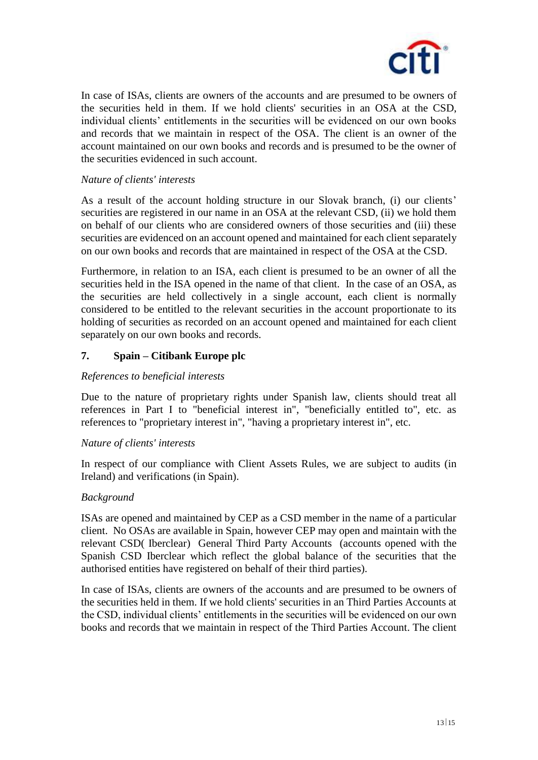

In case of ISAs, clients are owners of the accounts and are presumed to be owners of the securities held in them. If we hold clients' securities in an OSA at the CSD, individual clients' entitlements in the securities will be evidenced on our own books and records that we maintain in respect of the OSA. The client is an owner of the account maintained on our own books and records and is presumed to be the owner of the securities evidenced in such account.

### *Nature of clients' interests*

As a result of the account holding structure in our Slovak branch, (i) our clients' securities are registered in our name in an OSA at the relevant CSD, (ii) we hold them on behalf of our clients who are considered owners of those securities and (iii) these securities are evidenced on an account opened and maintained for each client separately on our own books and records that are maintained in respect of the OSA at the CSD.

Furthermore, in relation to an ISA, each client is presumed to be an owner of all the securities held in the ISA opened in the name of that client. In the case of an OSA, as the securities are held collectively in a single account, each client is normally considered to be entitled to the relevant securities in the account proportionate to its holding of securities as recorded on an account opened and maintained for each client separately on our own books and records.

### **7. Spain – Citibank Europe plc**

### *References to beneficial interests*

Due to the nature of proprietary rights under Spanish law, clients should treat all references in Part I to "beneficial interest in", "beneficially entitled to", etc. as references to "proprietary interest in", "having a proprietary interest in", etc.

### *Nature of clients' interests*

In respect of our compliance with Client Assets Rules, we are subject to audits (in Ireland) and verifications (in Spain).

### *Background*

ISAs are opened and maintained by CEP as a CSD member in the name of a particular client. No OSAs are available in Spain, however CEP may open and maintain with the relevant CSD( Iberclear) General Third Party Accounts (accounts opened with the Spanish CSD Iberclear which reflect the global balance of the securities that the authorised entities have registered on behalf of their third parties).

In case of ISAs, clients are owners of the accounts and are presumed to be owners of the securities held in them. If we hold clients' securities in an Third Parties Accounts at the CSD, individual clients' entitlements in the securities will be evidenced on our own books and records that we maintain in respect of the Third Parties Account. The client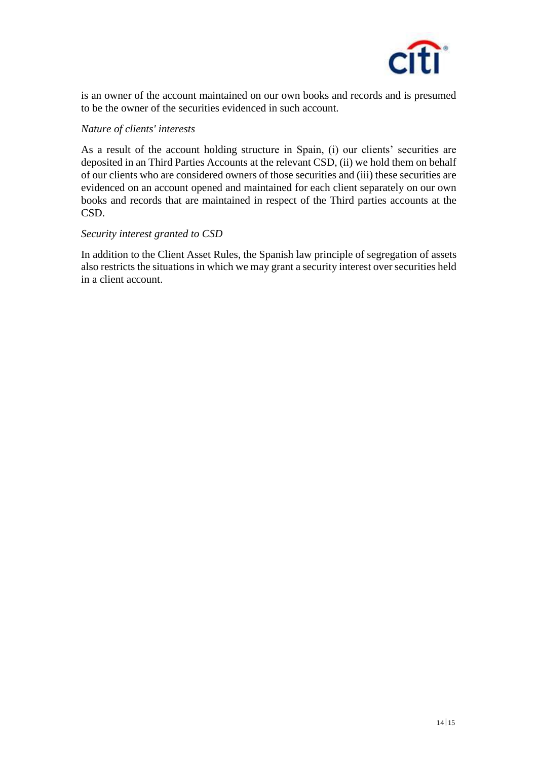

is an owner of the account maintained on our own books and records and is presumed to be the owner of the securities evidenced in such account.

### *Nature of clients' interests*

As a result of the account holding structure in Spain, (i) our clients' securities are deposited in an Third Parties Accounts at the relevant CSD, (ii) we hold them on behalf of our clients who are considered owners of those securities and (iii) these securities are evidenced on an account opened and maintained for each client separately on our own books and records that are maintained in respect of the Third parties accounts at the CSD.

### *Security interest granted to CSD*

In addition to the Client Asset Rules, the Spanish law principle of segregation of assets also restricts the situations in which we may grant a security interest over securities held in a client account.